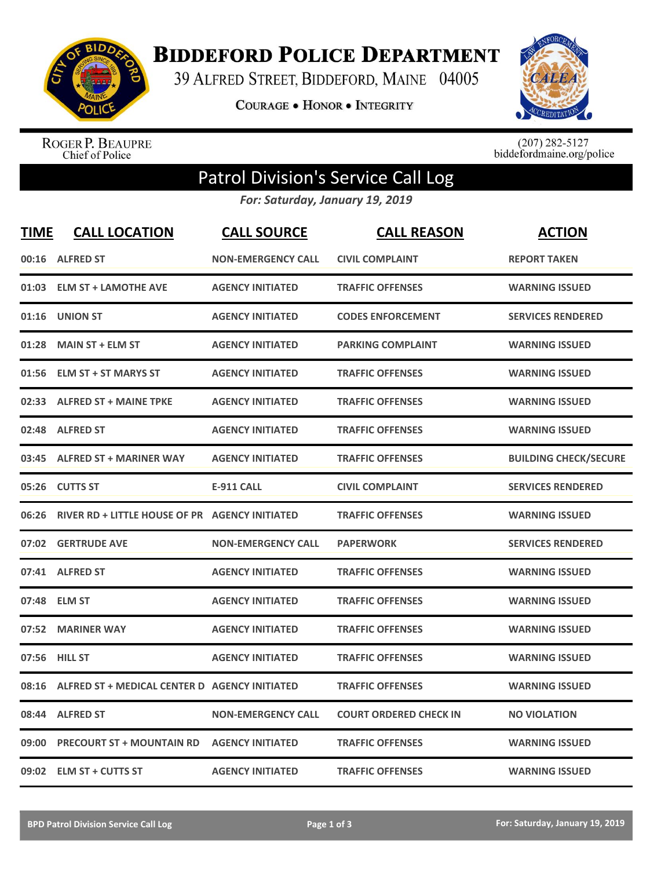

**BIDDEFORD POLICE DEPARTMENT** 

39 ALFRED STREET, BIDDEFORD, MAINE 04005

**COURAGE . HONOR . INTEGRITY** 



ROGER P. BEAUPRE<br>Chief of Police

 $(207)$  282-5127<br>biddefordmaine.org/police

## Patrol Division's Service Call Log

*For: Saturday, January 19, 2019*

| <b>TIME</b> | <b>CALL LOCATION</b>                           | <b>CALL SOURCE</b>        | <b>CALL REASON</b>            | <b>ACTION</b>                |
|-------------|------------------------------------------------|---------------------------|-------------------------------|------------------------------|
|             | 00:16 ALFRED ST                                | <b>NON-EMERGENCY CALL</b> | <b>CIVIL COMPLAINT</b>        | <b>REPORT TAKEN</b>          |
| 01:03       | <b>ELM ST + LAMOTHE AVE</b>                    | <b>AGENCY INITIATED</b>   | <b>TRAFFIC OFFENSES</b>       | <b>WARNING ISSUED</b>        |
| 01:16       | <b>UNION ST</b>                                | <b>AGENCY INITIATED</b>   | <b>CODES ENFORCEMENT</b>      | <b>SERVICES RENDERED</b>     |
| 01:28       | <b>MAIN ST + ELM ST</b>                        | <b>AGENCY INITIATED</b>   | <b>PARKING COMPLAINT</b>      | <b>WARNING ISSUED</b>        |
| 01:56       | <b>ELM ST + ST MARYS ST</b>                    | <b>AGENCY INITIATED</b>   | <b>TRAFFIC OFFENSES</b>       | <b>WARNING ISSUED</b>        |
|             | 02:33 ALFRED ST + MAINE TPKE                   | <b>AGENCY INITIATED</b>   | <b>TRAFFIC OFFENSES</b>       | <b>WARNING ISSUED</b>        |
| 02:48       | <b>ALFRED ST</b>                               | <b>AGENCY INITIATED</b>   | <b>TRAFFIC OFFENSES</b>       | <b>WARNING ISSUED</b>        |
| 03:45       | <b>ALFRED ST + MARINER WAY</b>                 | <b>AGENCY INITIATED</b>   | <b>TRAFFIC OFFENSES</b>       | <b>BUILDING CHECK/SECURE</b> |
|             | 05:26 CUTTS ST                                 | <b>E-911 CALL</b>         | <b>CIVIL COMPLAINT</b>        | <b>SERVICES RENDERED</b>     |
| 06:26       | RIVER RD + LITTLE HOUSE OF PR AGENCY INITIATED |                           | <b>TRAFFIC OFFENSES</b>       | <b>WARNING ISSUED</b>        |
|             | 07:02 GERTRUDE AVE                             | <b>NON-EMERGENCY CALL</b> | <b>PAPERWORK</b>              | <b>SERVICES RENDERED</b>     |
|             | 07:41 ALFRED ST                                | <b>AGENCY INITIATED</b>   | <b>TRAFFIC OFFENSES</b>       | <b>WARNING ISSUED</b>        |
|             | 07:48 ELM ST                                   | <b>AGENCY INITIATED</b>   | <b>TRAFFIC OFFENSES</b>       | <b>WARNING ISSUED</b>        |
| 07:52       | <b>MARINER WAY</b>                             | <b>AGENCY INITIATED</b>   | <b>TRAFFIC OFFENSES</b>       | <b>WARNING ISSUED</b>        |
| 07:56       | <b>HILL ST</b>                                 | <b>AGENCY INITIATED</b>   | <b>TRAFFIC OFFENSES</b>       | <b>WARNING ISSUED</b>        |
| 08:16       | ALFRED ST + MEDICAL CENTER D AGENCY INITIATED  |                           | <b>TRAFFIC OFFENSES</b>       | <b>WARNING ISSUED</b>        |
| 08:44       | <b>ALFRED ST</b>                               | <b>NON-EMERGENCY CALL</b> | <b>COURT ORDERED CHECK IN</b> | <b>NO VIOLATION</b>          |
| 09:00       | <b>PRECOURT ST + MOUNTAIN RD</b>               | <b>AGENCY INITIATED</b>   | <b>TRAFFIC OFFENSES</b>       | <b>WARNING ISSUED</b>        |
|             | 09:02 ELM ST + CUTTS ST                        | <b>AGENCY INITIATED</b>   | <b>TRAFFIC OFFENSES</b>       | <b>WARNING ISSUED</b>        |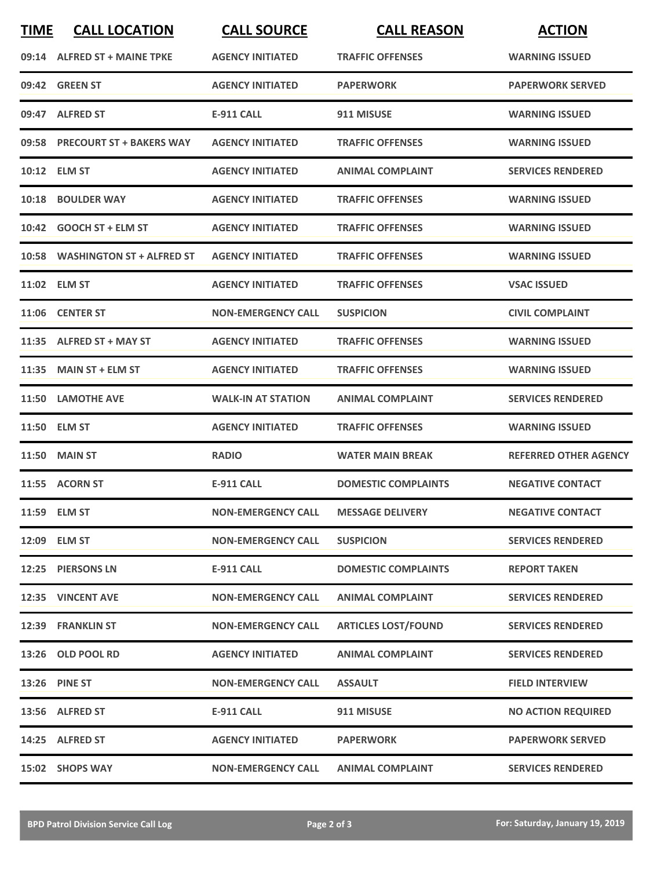| <b>TIME</b> | <b>CALL LOCATION</b>            | <b>CALL SOURCE</b>        | <b>CALL REASON</b>         | <b>ACTION</b>                |
|-------------|---------------------------------|---------------------------|----------------------------|------------------------------|
|             | 09:14 ALFRED ST + MAINE TPKE    | <b>AGENCY INITIATED</b>   | <b>TRAFFIC OFFENSES</b>    | <b>WARNING ISSUED</b>        |
|             | 09:42 GREEN ST                  | <b>AGENCY INITIATED</b>   | <b>PAPERWORK</b>           | <b>PAPERWORK SERVED</b>      |
|             | 09:47 ALFRED ST                 | E-911 CALL                | 911 MISUSE                 | <b>WARNING ISSUED</b>        |
|             | 09:58 PRECOURT ST + BAKERS WAY  | <b>AGENCY INITIATED</b>   | <b>TRAFFIC OFFENSES</b>    | <b>WARNING ISSUED</b>        |
|             | 10:12 ELM ST                    | <b>AGENCY INITIATED</b>   | <b>ANIMAL COMPLAINT</b>    | <b>SERVICES RENDERED</b>     |
|             | 10:18 BOULDER WAY               | <b>AGENCY INITIATED</b>   | <b>TRAFFIC OFFENSES</b>    | <b>WARNING ISSUED</b>        |
|             | 10:42 GOOCH ST + ELM ST         | <b>AGENCY INITIATED</b>   | <b>TRAFFIC OFFENSES</b>    | <b>WARNING ISSUED</b>        |
|             | 10:58 WASHINGTON ST + ALFRED ST | <b>AGENCY INITIATED</b>   | <b>TRAFFIC OFFENSES</b>    | <b>WARNING ISSUED</b>        |
|             | 11:02 ELM ST                    | <b>AGENCY INITIATED</b>   | <b>TRAFFIC OFFENSES</b>    | <b>VSAC ISSUED</b>           |
|             | 11:06 CENTER ST                 | <b>NON-EMERGENCY CALL</b> | <b>SUSPICION</b>           | <b>CIVIL COMPLAINT</b>       |
|             | 11:35 ALFRED ST + MAY ST        | <b>AGENCY INITIATED</b>   | <b>TRAFFIC OFFENSES</b>    | <b>WARNING ISSUED</b>        |
| 11:35       | <b>MAIN ST + ELM ST</b>         | <b>AGENCY INITIATED</b>   | <b>TRAFFIC OFFENSES</b>    | <b>WARNING ISSUED</b>        |
| 11:50       | <b>LAMOTHE AVE</b>              | <b>WALK-IN AT STATION</b> | <b>ANIMAL COMPLAINT</b>    | <b>SERVICES RENDERED</b>     |
|             | 11:50 ELM ST                    | <b>AGENCY INITIATED</b>   | <b>TRAFFIC OFFENSES</b>    | <b>WARNING ISSUED</b>        |
|             | <b>11:50 MAIN ST</b>            | <b>RADIO</b>              | <b>WATER MAIN BREAK</b>    | <b>REFERRED OTHER AGENCY</b> |
|             | 11:55 ACORN ST                  | <b>E-911 CALL</b>         | <b>DOMESTIC COMPLAINTS</b> | <b>NEGATIVE CONTACT</b>      |
|             | 11:59 ELM ST                    | <b>NON-EMERGENCY CALL</b> | <b>MESSAGE DELIVERY</b>    | <b>NEGATIVE CONTACT</b>      |
|             | 12:09 ELM ST                    | <b>NON-EMERGENCY CALL</b> | <b>SUSPICION</b>           | <b>SERVICES RENDERED</b>     |
|             | 12:25 PIERSONS LN               | E-911 CALL                | <b>DOMESTIC COMPLAINTS</b> | <b>REPORT TAKEN</b>          |
|             | 12:35 VINCENT AVE               | <b>NON-EMERGENCY CALL</b> | <b>ANIMAL COMPLAINT</b>    | <b>SERVICES RENDERED</b>     |
|             | 12:39 FRANKLIN ST               | <b>NON-EMERGENCY CALL</b> | <b>ARTICLES LOST/FOUND</b> | <b>SERVICES RENDERED</b>     |
|             | 13:26 OLD POOL RD               | <b>AGENCY INITIATED</b>   | <b>ANIMAL COMPLAINT</b>    | <b>SERVICES RENDERED</b>     |
|             | 13:26 PINE ST                   | <b>NON-EMERGENCY CALL</b> | <b>ASSAULT</b>             | <b>FIELD INTERVIEW</b>       |
|             | 13:56 ALFRED ST                 | <b>E-911 CALL</b>         | 911 MISUSE                 | <b>NO ACTION REQUIRED</b>    |
|             | 14:25 ALFRED ST                 | <b>AGENCY INITIATED</b>   | <b>PAPERWORK</b>           | <b>PAPERWORK SERVED</b>      |
|             | 15:02 SHOPS WAY                 | <b>NON-EMERGENCY CALL</b> | <b>ANIMAL COMPLAINT</b>    | <b>SERVICES RENDERED</b>     |